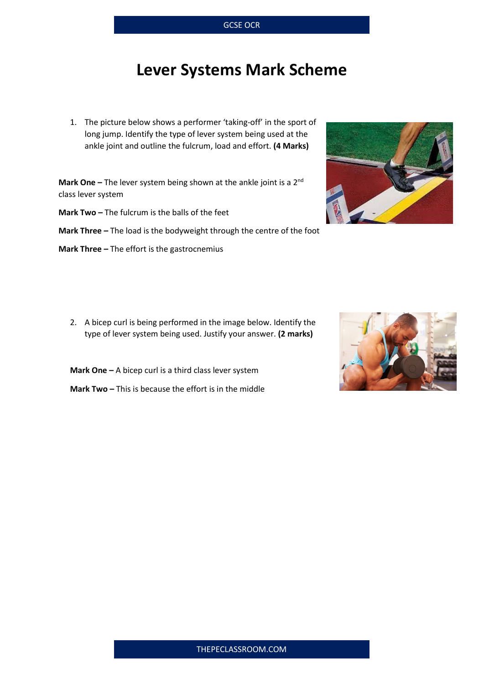## **Lever Systems Mark Scheme**

1. The picture below shows a performer 'taking-off' in the sport of long jump. Identify the type of lever system being used at the ankle joint and outline the fulcrum, load and effort. **(4 Marks)**

**Mark One** – The lever system being shown at the ankle joint is a 2<sup>nd</sup> class lever system

**Mark Two –** The fulcrum is the balls of the feet

**Mark Three -** The load is the bodyweight through the centre of the foot

**Mark Three –** The effort is the gastrocnemius

2. A bicep curl is being performed in the image below. Identify the type of lever system being used. Justify your answer. **(2 marks)**

**Mark One –** A bicep curl is a third class lever system

**Mark Two –** This is because the effort is in the middle